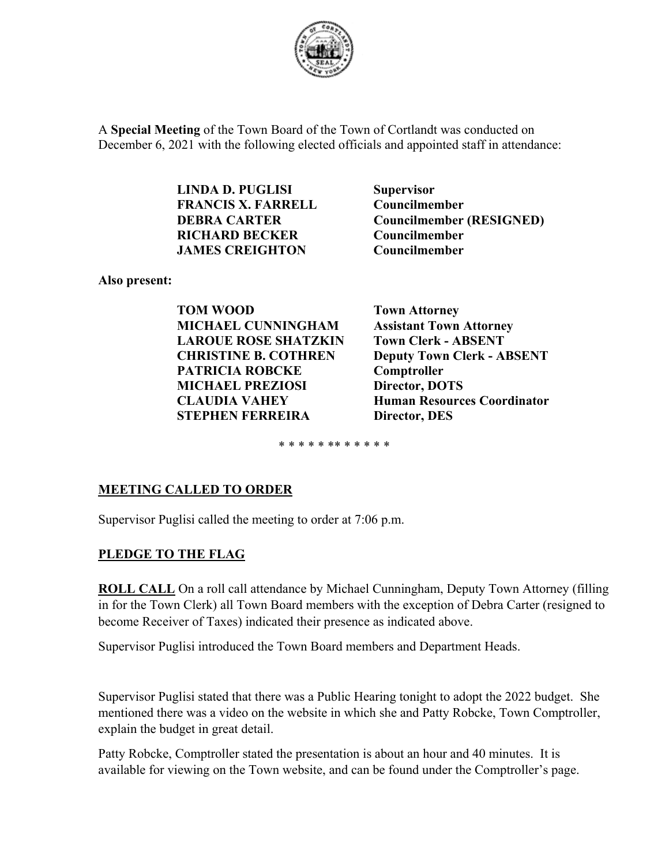

A **Special Meeting** of the Town Board of the Town of Cortlandt was conducted on December 6, 2021 with the following elected officials and appointed staff in attendance:

> **LINDA D. PUGLISI Supervisor FRANCIS X. FARRELL Councilmember RICHARD BECKER Councilmember JAMES CREIGHTON Councilmember**

**DEBRA CARTER Councilmember (RESIGNED)** 

**Also present:** 

**TOM WOOD Town Attorney MICHAEL CUNNINGHAM Assistant Town Attorney LAROUE ROSE SHATZKIN Town Clerk - ABSENT PATRICIA ROBCKE Comptroller MICHAEL PREZIOSI** Director, DOTS  **STEPHEN FERREIRA Director, DES** 

**CHRISTINE B. COTHREN Deputy Town Clerk - ABSENT CLAUDIA VAHEY Human Resources Coordinator** 

\* \* \* \* \* \*\* \* \* \* \* \*

### **MEETING CALLED TO ORDER**

Supervisor Puglisi called the meeting to order at 7:06 p.m.

#### **PLEDGE TO THE FLAG**

**ROLL CALL** On a roll call attendance by Michael Cunningham, Deputy Town Attorney (filling in for the Town Clerk) all Town Board members with the exception of Debra Carter (resigned to become Receiver of Taxes) indicated their presence as indicated above.

Supervisor Puglisi introduced the Town Board members and Department Heads.

Supervisor Puglisi stated that there was a Public Hearing tonight to adopt the 2022 budget. She mentioned there was a video on the website in which she and Patty Robcke, Town Comptroller, explain the budget in great detail.

Patty Robcke, Comptroller stated the presentation is about an hour and 40 minutes. It is available for viewing on the Town website, and can be found under the Comptroller's page.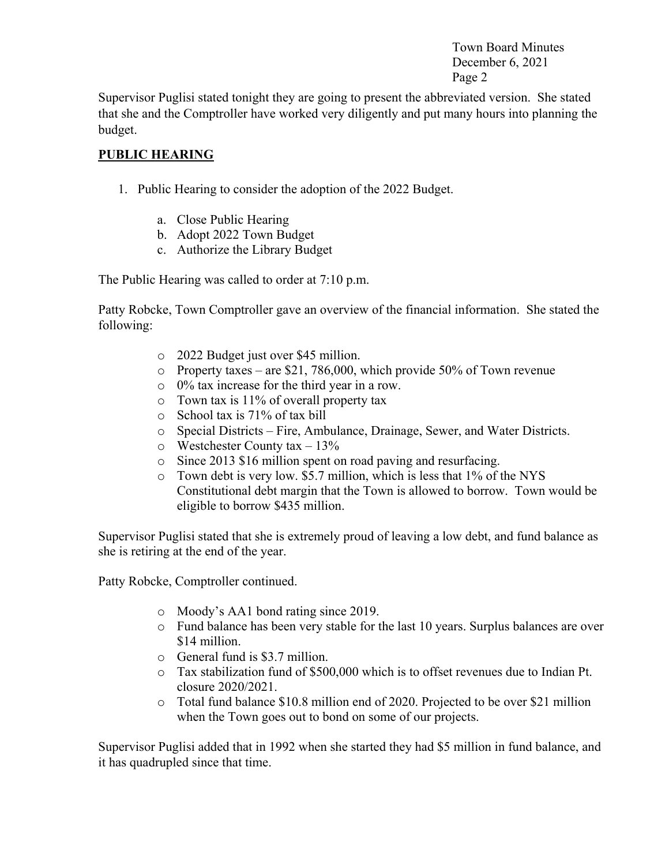Supervisor Puglisi stated tonight they are going to present the abbreviated version. She stated that she and the Comptroller have worked very diligently and put many hours into planning the budget.

# **PUBLIC HEARING**

- 1. Public Hearing to consider the adoption of the 2022 Budget.
	- a. Close Public Hearing
	- b. Adopt 2022 Town Budget
	- c. Authorize the Library Budget

The Public Hearing was called to order at 7:10 p.m.

Patty Robcke, Town Comptroller gave an overview of the financial information. She stated the following:

- o 2022 Budget just over \$45 million.
- o Property taxes are \$21, 786,000, which provide 50% of Town revenue
- o 0% tax increase for the third year in a row.
- o Town tax is 11% of overall property tax
- o School tax is 71% of tax bill
- o Special Districts Fire, Ambulance, Drainage, Sewer, and Water Districts.
- $\circ$  Westchester County tax 13%
- o Since 2013 \$16 million spent on road paving and resurfacing.
- o Town debt is very low. \$5.7 million, which is less that 1% of the NYS Constitutional debt margin that the Town is allowed to borrow. Town would be eligible to borrow \$435 million.

Supervisor Puglisi stated that she is extremely proud of leaving a low debt, and fund balance as she is retiring at the end of the year.

Patty Robcke, Comptroller continued.

- o Moody's AA1 bond rating since 2019.
- o Fund balance has been very stable for the last 10 years. Surplus balances are over \$14 million.
- o General fund is \$3.7 million.
- o Tax stabilization fund of \$500,000 which is to offset revenues due to Indian Pt. closure 2020/2021.
- o Total fund balance \$10.8 million end of 2020. Projected to be over \$21 million when the Town goes out to bond on some of our projects.

Supervisor Puglisi added that in 1992 when she started they had \$5 million in fund balance, and it has quadrupled since that time.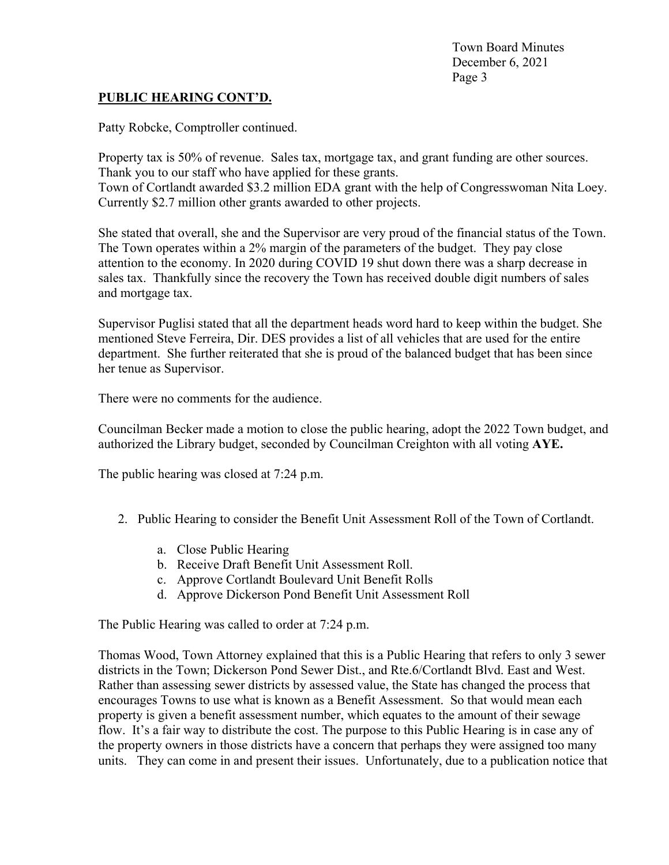#### **PUBLIC HEARING CONT'D.**

Patty Robcke, Comptroller continued.

Property tax is 50% of revenue. Sales tax, mortgage tax, and grant funding are other sources. Thank you to our staff who have applied for these grants. Town of Cortlandt awarded \$3.2 million EDA grant with the help of Congresswoman Nita Loey. Currently \$2.7 million other grants awarded to other projects.

She stated that overall, she and the Supervisor are very proud of the financial status of the Town. The Town operates within a 2% margin of the parameters of the budget. They pay close attention to the economy. In 2020 during COVID 19 shut down there was a sharp decrease in sales tax. Thankfully since the recovery the Town has received double digit numbers of sales and mortgage tax.

Supervisor Puglisi stated that all the department heads word hard to keep within the budget. She mentioned Steve Ferreira, Dir. DES provides a list of all vehicles that are used for the entire department. She further reiterated that she is proud of the balanced budget that has been since her tenue as Supervisor.

There were no comments for the audience.

Councilman Becker made a motion to close the public hearing, adopt the 2022 Town budget, and authorized the Library budget, seconded by Councilman Creighton with all voting **AYE.** 

The public hearing was closed at 7:24 p.m.

- 2. Public Hearing to consider the Benefit Unit Assessment Roll of the Town of Cortlandt.
	- a. Close Public Hearing
	- b. Receive Draft Benefit Unit Assessment Roll.
	- c. Approve Cortlandt Boulevard Unit Benefit Rolls
	- d. Approve Dickerson Pond Benefit Unit Assessment Roll

The Public Hearing was called to order at 7:24 p.m.

Thomas Wood, Town Attorney explained that this is a Public Hearing that refers to only 3 sewer districts in the Town; Dickerson Pond Sewer Dist., and Rte.6/Cortlandt Blvd. East and West. Rather than assessing sewer districts by assessed value, the State has changed the process that encourages Towns to use what is known as a Benefit Assessment. So that would mean each property is given a benefit assessment number, which equates to the amount of their sewage flow. It's a fair way to distribute the cost. The purpose to this Public Hearing is in case any of the property owners in those districts have a concern that perhaps they were assigned too many units. They can come in and present their issues. Unfortunately, due to a publication notice that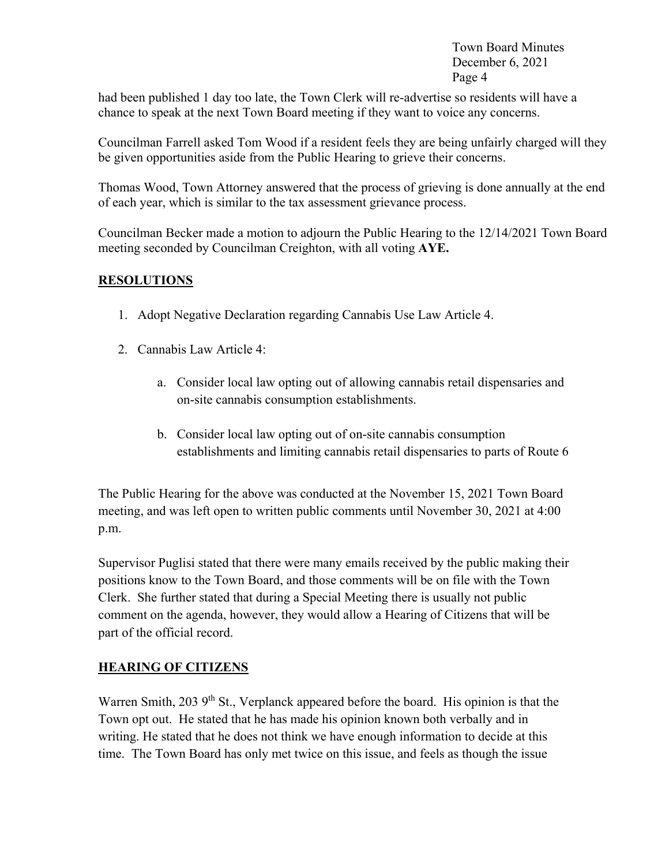had been published 1 day too late, the Town Clerk will re-advertise so residents will have a chance to speak at the next Town Board meeting if they want to voice any concerns.

Councilman Farrell asked Tom Wood if a resident feels they are being unfairly charged will they be given opportunities aside from the Public Hearing to grieve their concerns.

Thomas Wood, Town Attorney answered that the process of grieving is done annually at the end of each year, which is similar to the tax assessment grievance process.

Councilman Becker made a motion to adjourn the Public Hearing to the 12/14/2021 Town Board meeting seconded by Councilman Creighton, with all voting **AYE.** 

### **RESOLUTIONS**

- 1. Adopt Negative Declaration regarding Cannabis Use Law Article 4.
- 2. Cannabis Law Article 4:
	- a. Consider local law opting out of allowing cannabis retail dispensaries and on-site cannabis consumption establishments.
	- b. Consider local law opting out of on-site cannabis consumption establishments and limiting cannabis retail dispensaries to parts of Route 6

The Public Hearing for the above was conducted at the November 15, 2021 Town Board meeting, and was left open to written public comments until November 30, 2021 at 4:00 p.m.

Supervisor Puglisi stated that there were many emails received by the public making their positions know to the Town Board, and those comments will be on file with the Town Clerk. She further stated that during a Special Meeting there is usually not public comment on the agenda, however, they would allow a Hearing of Citizens that will be part of the official record.

### **HEARING OF CITIZENS**

Warren Smith, 203 9<sup>th</sup> St., Verplanck appeared before the board. His opinion is that the Town opt out. He stated that he has made his opinion known both verbally and in writing. He stated that he does not think we have enough information to decide at this time. The Town Board has only met twice on this issue, and feels as though the issue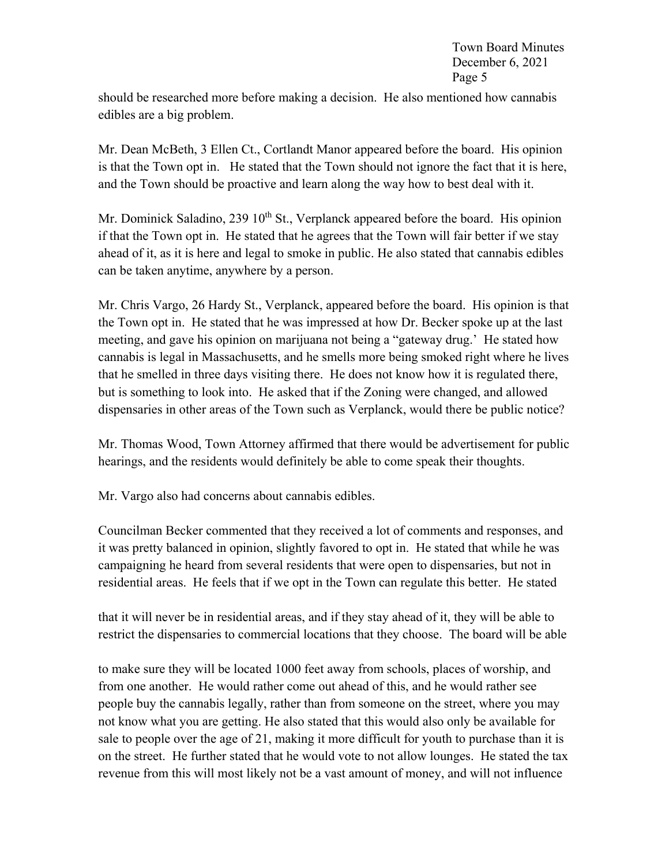should be researched more before making a decision. He also mentioned how cannabis edibles are a big problem.

Mr. Dean McBeth, 3 Ellen Ct., Cortlandt Manor appeared before the board. His opinion is that the Town opt in. He stated that the Town should not ignore the fact that it is here, and the Town should be proactive and learn along the way how to best deal with it.

Mr. Dominick Saladino, 239  $10<sup>th</sup>$  St., Verplanck appeared before the board. His opinion if that the Town opt in. He stated that he agrees that the Town will fair better if we stay ahead of it, as it is here and legal to smoke in public. He also stated that cannabis edibles can be taken anytime, anywhere by a person.

Mr. Chris Vargo, 26 Hardy St., Verplanck, appeared before the board. His opinion is that the Town opt in. He stated that he was impressed at how Dr. Becker spoke up at the last meeting, and gave his opinion on marijuana not being a "gateway drug.' He stated how cannabis is legal in Massachusetts, and he smells more being smoked right where he lives that he smelled in three days visiting there. He does not know how it is regulated there, but is something to look into. He asked that if the Zoning were changed, and allowed dispensaries in other areas of the Town such as Verplanck, would there be public notice?

Mr. Thomas Wood, Town Attorney affirmed that there would be advertisement for public hearings, and the residents would definitely be able to come speak their thoughts.

Mr. Vargo also had concerns about cannabis edibles.

Councilman Becker commented that they received a lot of comments and responses, and it was pretty balanced in opinion, slightly favored to opt in. He stated that while he was campaigning he heard from several residents that were open to dispensaries, but not in residential areas. He feels that if we opt in the Town can regulate this better. He stated

that it will never be in residential areas, and if they stay ahead of it, they will be able to restrict the dispensaries to commercial locations that they choose. The board will be able

to make sure they will be located 1000 feet away from schools, places of worship, and from one another. He would rather come out ahead of this, and he would rather see people buy the cannabis legally, rather than from someone on the street, where you may not know what you are getting. He also stated that this would also only be available for sale to people over the age of 21, making it more difficult for youth to purchase than it is on the street. He further stated that he would vote to not allow lounges. He stated the tax revenue from this will most likely not be a vast amount of money, and will not influence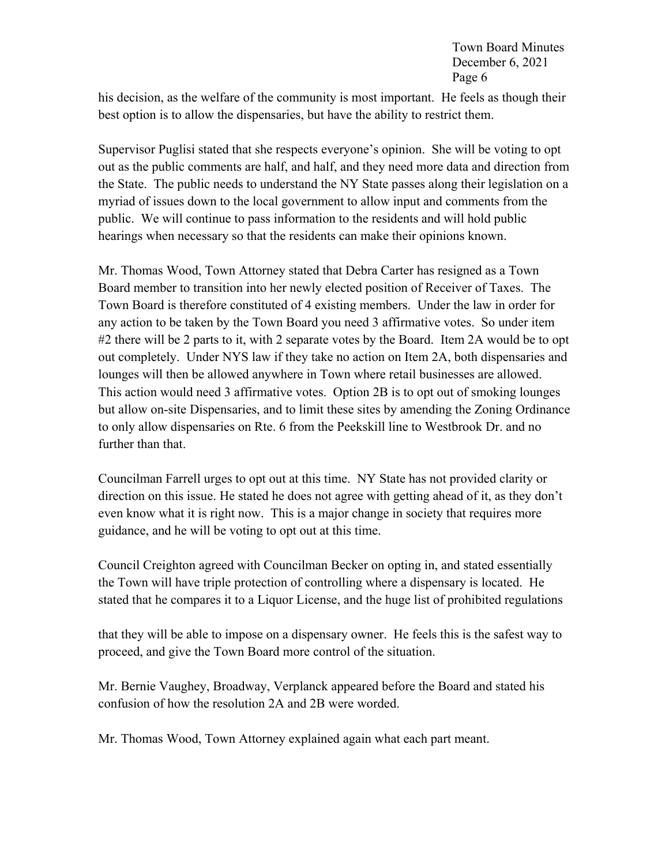his decision, as the welfare of the community is most important. He feels as though their best option is to allow the dispensaries, but have the ability to restrict them.

Supervisor Puglisi stated that she respects everyone's opinion. She will be voting to opt out as the public comments are half, and half, and they need more data and direction from the State. The public needs to understand the NY State passes along their legislation on a myriad of issues down to the local government to allow input and comments from the public. We will continue to pass information to the residents and will hold public hearings when necessary so that the residents can make their opinions known.

Mr. Thomas Wood, Town Attorney stated that Debra Carter has resigned as a Town Board member to transition into her newly elected position of Receiver of Taxes. The Town Board is therefore constituted of 4 existing members. Under the law in order for any action to be taken by the Town Board you need 3 affirmative votes. So under item #2 there will be 2 parts to it, with 2 separate votes by the Board. Item 2A would be to opt out completely. Under NYS law if they take no action on Item 2A, both dispensaries and lounges will then be allowed anywhere in Town where retail businesses are allowed. This action would need 3 affirmative votes. Option 2B is to opt out of smoking lounges but allow on-site Dispensaries, and to limit these sites by amending the Zoning Ordinance to only allow dispensaries on Rte. 6 from the Peekskill line to Westbrook Dr. and no further than that.

Councilman Farrell urges to opt out at this time. NY State has not provided clarity or direction on this issue. He stated he does not agree with getting ahead of it, as they don't even know what it is right now. This is a major change in society that requires more guidance, and he will be voting to opt out at this time.

Council Creighton agreed with Councilman Becker on opting in, and stated essentially the Town will have triple protection of controlling where a dispensary is located. He stated that he compares it to a Liquor License, and the huge list of prohibited regulations

that they will be able to impose on a dispensary owner. He feels this is the safest way to proceed, and give the Town Board more control of the situation.

Mr. Bernie Vaughey, Broadway, Verplanck appeared before the Board and stated his confusion of how the resolution 2A and 2B were worded.

Mr. Thomas Wood, Town Attorney explained again what each part meant.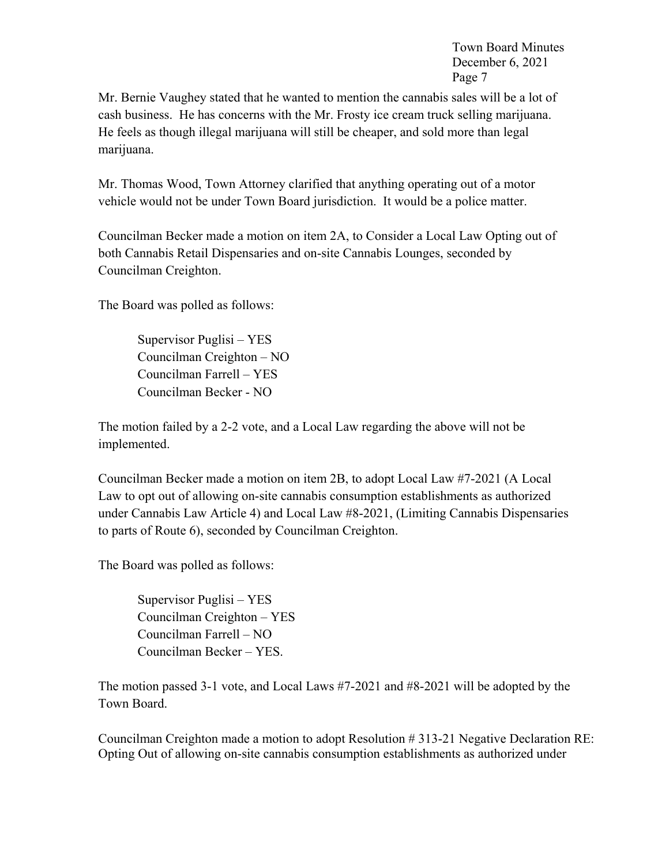Mr. Bernie Vaughey stated that he wanted to mention the cannabis sales will be a lot of cash business. He has concerns with the Mr. Frosty ice cream truck selling marijuana. He feels as though illegal marijuana will still be cheaper, and sold more than legal marijuana.

Mr. Thomas Wood, Town Attorney clarified that anything operating out of a motor vehicle would not be under Town Board jurisdiction. It would be a police matter.

Councilman Becker made a motion on item 2A, to Consider a Local Law Opting out of both Cannabis Retail Dispensaries and on-site Cannabis Lounges, seconded by Councilman Creighton.

The Board was polled as follows:

 Supervisor Puglisi – YES Councilman Creighton – NO Councilman Farrell – YES Councilman Becker - NO

The motion failed by a 2-2 vote, and a Local Law regarding the above will not be implemented.

Councilman Becker made a motion on item 2B, to adopt Local Law #7-2021 (A Local Law to opt out of allowing on-site cannabis consumption establishments as authorized under Cannabis Law Article 4) and Local Law #8-2021, (Limiting Cannabis Dispensaries to parts of Route 6), seconded by Councilman Creighton.

The Board was polled as follows:

 Supervisor Puglisi – YES Councilman Creighton – YES Councilman Farrell – NO Councilman Becker – YES.

The motion passed 3-1 vote, and Local Laws #7-2021 and #8-2021 will be adopted by the Town Board.

Councilman Creighton made a motion to adopt Resolution # 313-21 Negative Declaration RE: Opting Out of allowing on-site cannabis consumption establishments as authorized under